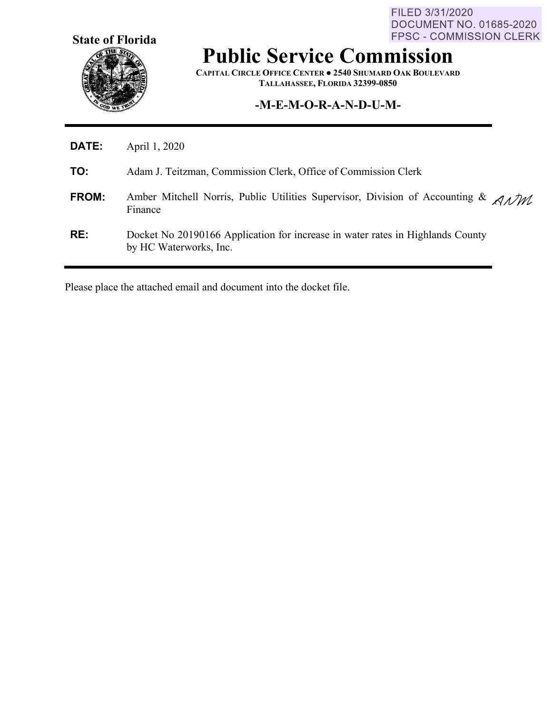**State of Florida**

FILED 3/31/2020 **DOCUMENT NO. 01685-2020** FPSC - COMMISSION CLERK

## **Public Service Commission**

**CAPITAL CIRCLE OFFICE CENTER ● 2540 SHUMARD OAK BOULEVARD TALLAHASSEE, FLORIDA 32399-0850**

## **-M-E-M-O-R-A-N-D-U-M-**

| <b>DATE:</b> | April 1, 2020                                                                                                                 |
|--------------|-------------------------------------------------------------------------------------------------------------------------------|
| TO:          | Adam J. Teitzman, Commission Clerk, Office of Commission Clerk                                                                |
| FROM:        | Amber Mitchell Norris, Public Utilities Supervisor, Division of Accounting & $\mathcal{A} \mathcal{N} \mathcal{U}$<br>Finance |
| RE:          | Docket No 20190166 Application for increase in water rates in Highlands County<br>by HC Waterworks, Inc.                      |

Please place the attached email and document into the docket file.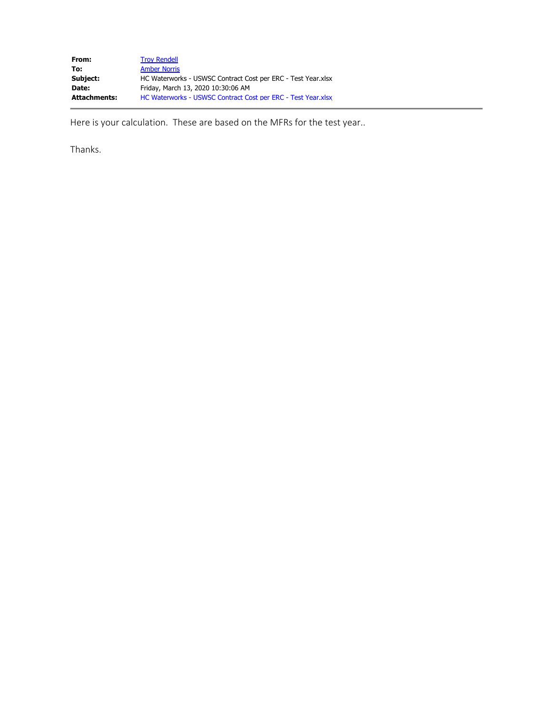| From:               | <b>Troy Rendell</b>                                          |
|---------------------|--------------------------------------------------------------|
| To:                 | <b>Amber Norris</b>                                          |
| Subject:            | HC Waterworks - USWSC Contract Cost per ERC - Test Year.xlsx |
| Date:               | Friday, March 13, 2020 10:30:06 AM                           |
| <b>Attachments:</b> | HC Waterworks - USWSC Contract Cost per ERC - Test Year.xlsx |

Here is your calculation. These are based on the MFRs for the test year..

Thanks.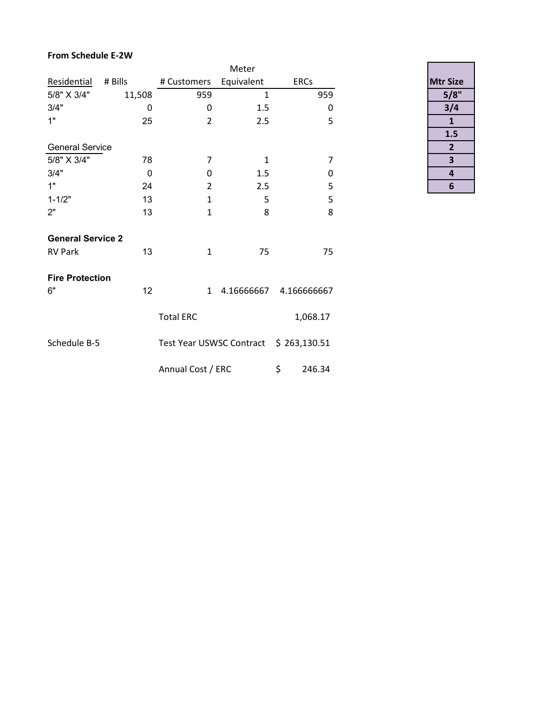## **From Schedule E-2W**

|                          |             |                                        | Meter        |              |     |
|--------------------------|-------------|----------------------------------------|--------------|--------------|-----|
| Residential              | # Bills     | # Customers                            | Equivalent   | <b>ERCs</b>  |     |
| 5/8" X 3/4"              | 11,508      | 959                                    | $\mathbf{1}$ |              | 959 |
| 3/4"                     | $\mathbf 0$ | 0                                      | 1.5          |              | 0   |
| 1"                       | 25          | $\overline{2}$                         | 2.5          |              | 5   |
|                          |             |                                        |              |              |     |
| <b>General Service</b>   |             |                                        |              |              |     |
| 5/8" X 3/4"              | 78          | 7                                      | $\mathbf{1}$ |              | 7   |
| 3/4"                     | $\mathbf 0$ | 0                                      | 1.5          |              | 0   |
| 1"                       | 24          | $\overline{2}$                         | 2.5          |              | 5   |
| $1 - 1/2"$               | 13          | $\mathbf{1}$                           | 5            |              | 5   |
| 2"                       | 13          | $\mathbf{1}$                           | 8            |              | 8   |
| <b>General Service 2</b> |             |                                        |              |              |     |
| <b>RV Park</b>           | 13          | 1                                      | 75           |              | 75  |
| <b>Fire Protection</b>   |             |                                        |              |              |     |
| 6"                       | 12          | $\mathbf{1}$                           | 4.16666667   | 4.166666667  |     |
|                          |             | <b>Total ERC</b>                       |              | 1,068.17     |     |
| Schedule B-5             |             | Test Year USWSC Contract \$ 263,130.51 |              |              |     |
|                          |             | Annual Cost / ERC                      |              | \$<br>246.34 |     |

| <b>Mtr Size</b> |
|-----------------|
| 5/8"            |
| 3/4             |
| 1               |
| 1.5             |
| 2               |
| 3               |
| 4               |
|                 |

<u> 1980 - John Barnett, fransk politiker</u>